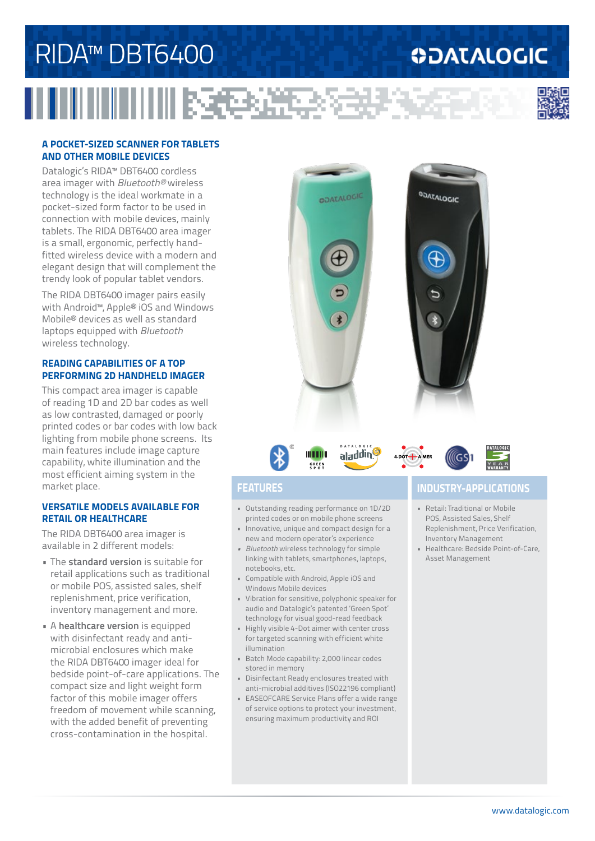# RIDA™ DBT6400

# **ODATALOGIC**



## **A POCKET-SIZED SCANNER FOR TABLETS AND OTHER MOBILE DEVICES**

Datalogic's RIDA™ DBT6400 cordless area imager with *Bluetooth®* wireless technology is the ideal workmate in a pocket-sized form factor to be used in connection with mobile devices, mainly tablets. The RIDA DBT6400 area imager is a small, ergonomic, perfectly handfitted wireless device with a modern and elegant design that will complement the trendy look of popular tablet vendors.

The RIDA DBT6400 imager pairs easily with Android™, Apple® iOS and Windows Mobile® devices as well as standard laptops equipped with *Bluetooth* wireless technology.

### **READING CAPABILITIES OF A TOP PERFORMING 2D HANDHELD IMAGER**

This compact area imager is capable of reading 1D and 2D bar codes as well as low contrasted, damaged or poorly printed codes or bar codes with low back lighting from mobile phone screens. Its main features include image capture capability, white illumination and the most efficient aiming system in the market place.

### **VERSATILE MODELS AVAILABLE FOR RETAIL OR HEALTHCARE**

The RIDA DBT6400 area imager is available in 2 different models:

- The **standard version** is suitable for retail applications such as traditional or mobile POS, assisted sales, shelf replenishment, price verification, inventory management and more.
- A **healthcare version** is equipped with disinfectant ready and antimicrobial enclosures which make the RIDA DBT6400 imager ideal for bedside point-of-care applications. The compact size and light weight form factor of this mobile imager offers freedom of movement while scanning, with the added benefit of preventing cross-contamination in the hospital.





## aladding DOT- AIMER



医包括子

- Outstanding reading performance on 1D/2D printed codes or on mobile phone screens
- Innovative, unique and compact design for a new and modern operator's experience
- *• Bluetooth* wireless technology for simple linking with tablets, smartphones, laptops, notebooks, etc.
- Compatible with Android, Apple iOS and Windows Mobile devices
- Vibration for sensitive, polyphonic speaker for audio and Datalogic's patented 'Green Spot' technology for visual good-read feedback
- Highly visible 4-Dot aimer with center cross for targeted scanning with efficient white illumination
- Batch Mode capability: 2,000 linear codes stored in memory
- Disinfectant Ready enclosures treated with anti-microbial additives (ISO22196 compliant)
- EASEOFCARE Service Plans offer a wide range of service options to protect your investment, ensuring maximum productivity and ROI

## **FEATURES INDUSTRY-APPLICATIONS**

- Retail: Traditional or Mobile POS, Assisted Sales, Shelf Replenishment, Price Verification, Inventory Management
- Healthcare: Bedside Point-of-Care, Asset Management